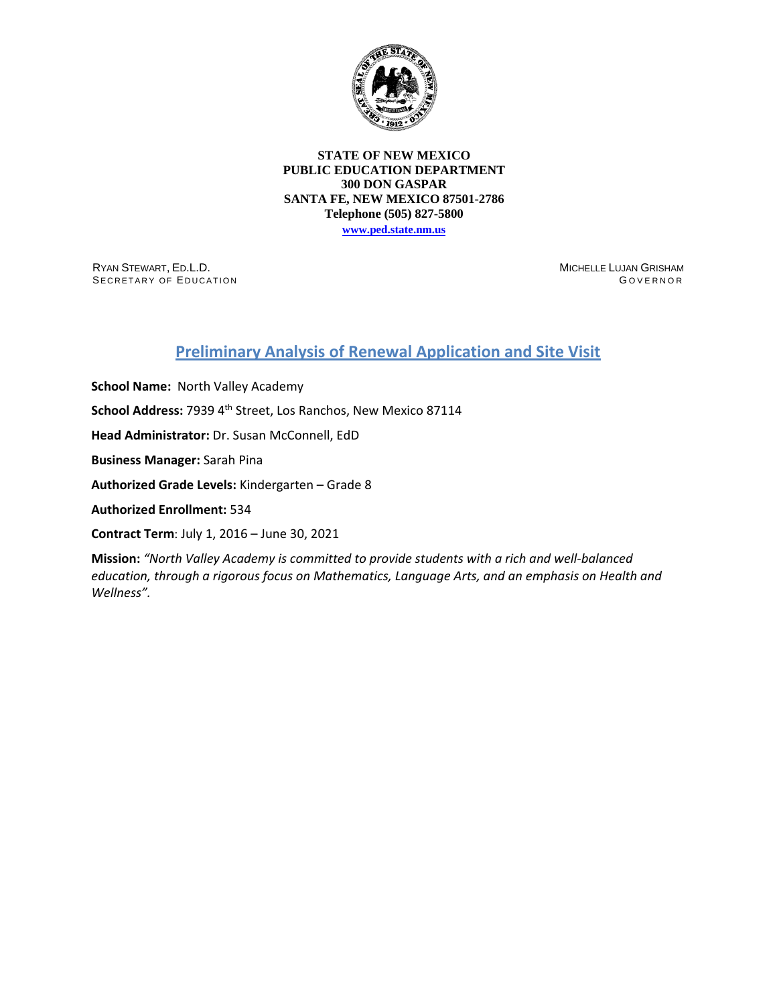

## **STATE OF NEW MEXICO PUBLIC EDUCATION DEPARTMENT 300 DON GASPAR SANTA FE, NEW MEXICO 87501-2786 Telephone (505) 827-5800**

**[www.ped.state.nm.us](http://webnew.ped.state.nm.us/)**

RYAN STEWART, ED.L.D. SECRETARY OF EDUCATION MICHELLE LUJAN GRISHAM G OVERNOR

## **Preliminary Analysis of Renewal Application and Site Visit**

**School Name:** North Valley Academy School Address: 7939 4<sup>th</sup> Street, Los Ranchos, New Mexico 87114 **Head Administrator:** Dr. Susan McConnell, EdD **Business Manager:** Sarah Pina **Authorized Grade Levels:** Kindergarten – Grade 8 **Authorized Enrollment:** 534 **Contract Term**: July 1, 2016 – June 30, 2021

**Mission:** *"North Valley Academy is committed to provide students with a rich and well-balanced education, through a rigorous focus on Mathematics, Language Arts, and an emphasis on Health and Wellness".*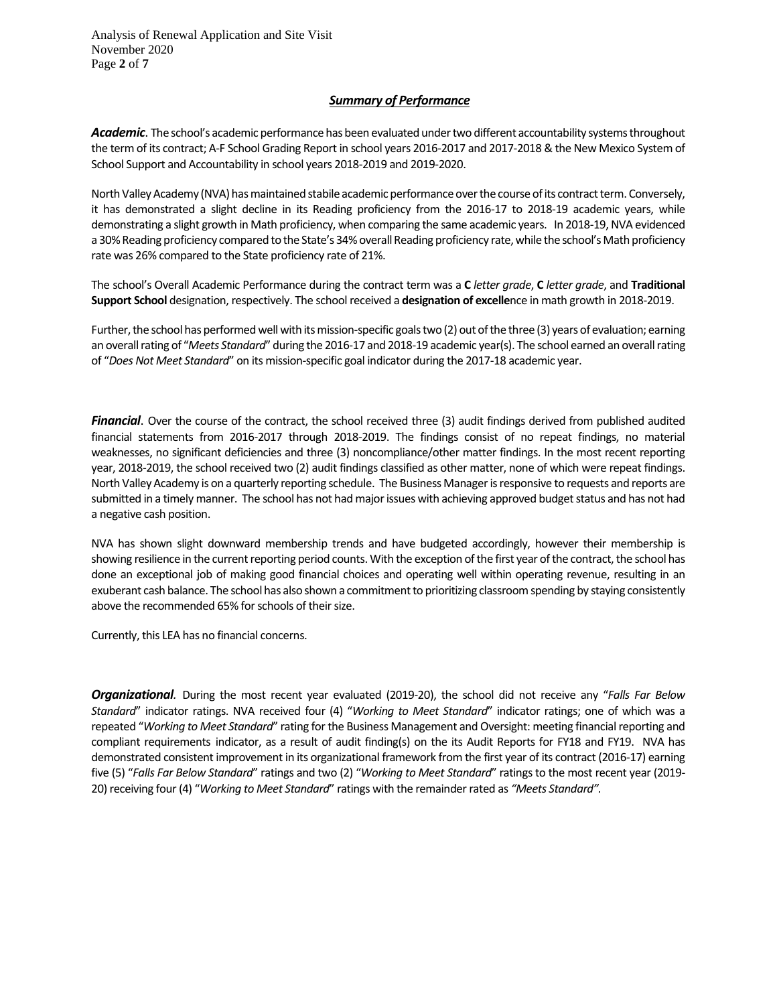Analysis of Renewal Application and Site Visit November 2020 Page **2** of **7**

## *Summary of Performance*

Academic. The school's academic performance has been evaluated under two different accountability systems throughout the term of its contract; A-F School Grading Report in school years 2016-2017 and 2017-2018 & the New Mexico System of School Support and Accountability in school years 2018-2019 and 2019-2020.

North Valley Academy (NVA) has maintained stabile academic performance over the course of its contract term. Conversely, it has demonstrated a slight decline in its Reading proficiency from the 2016-17 to 2018-19 academic years, while demonstrating a slight growth in Math proficiency, when comparing the same academic years. In 2018-19, NVA evidenced a 30% Reading proficiency compared to the State's 34% overall Reading proficiency rate, while the school's Math proficiency rate was 26% compared to the State proficiency rate of 21%.

The school's Overall Academic Performance during the contract term was a **C** *letter grade*, **C** *letter grade*, and **Traditional Support School** designation, respectively. The school received a **designation of excelle**nce in math growth in 2018-2019.

Further, the school has performed wellwith its mission-specific goals two (2) out of the three (3) years of evaluation; earning an overall rating of "*Meets Standard*" during the 2016-17 and 2018-19 academic year(s). The school earned an overall rating of "*Does Not Meet Standard*" on its mission-specific goal indicator during the 2017-18 academic year.

*Financial*. Over the course of the contract, the school received three (3) audit findings derived from published audited financial statements from 2016-2017 through 2018-2019. The findings consist of no repeat findings, no material weaknesses, no significant deficiencies and three (3) noncompliance/other matter findings. In the most recent reporting year, 2018-2019, the school received two (2) audit findings classified as other matter, none of which were repeat findings. North Valley Academy is on a quarterly reporting schedule. The Business Manager is responsive to requests and reports are submitted in a timely manner. The school has not had major issues with achieving approved budget status and has not had a negative cash position.

NVA has shown slight downward membership trends and have budgeted accordingly, however their membership is showing resilience in the current reporting period counts. With the exception of the first year of the contract, the school has done an exceptional job of making good financial choices and operating well within operating revenue, resulting in an exuberant cash balance. The school has also shown a commitment to prioritizing classroom spending by staying consistently above the recommended 65% for schools of their size.

Currently, this LEA has no financial concerns.

*Organizational.* During the most recent year evaluated (2019-20), the school did not receive any "*Falls Far Below Standard*" indicator ratings. NVA received four (4) "*Working to Meet Standard*" indicator ratings; one of which was a repeated "*Working to Meet Standard*" rating for the Business Management and Oversight: meeting financial reporting and compliant requirements indicator, as a result of audit finding(s) on the its Audit Reports for FY18 and FY19. NVA has demonstrated consistent improvement in its organizational framework from the first year of its contract (2016-17) earning five (5) "*Falls Far Below Standard*" ratings and two (2) "*Working to Meet Standard*" ratings to the most recent year (2019- 20) receiving four (4) "*Working to Meet Standard*" ratings with the remainder rated as *"Meets Standard".*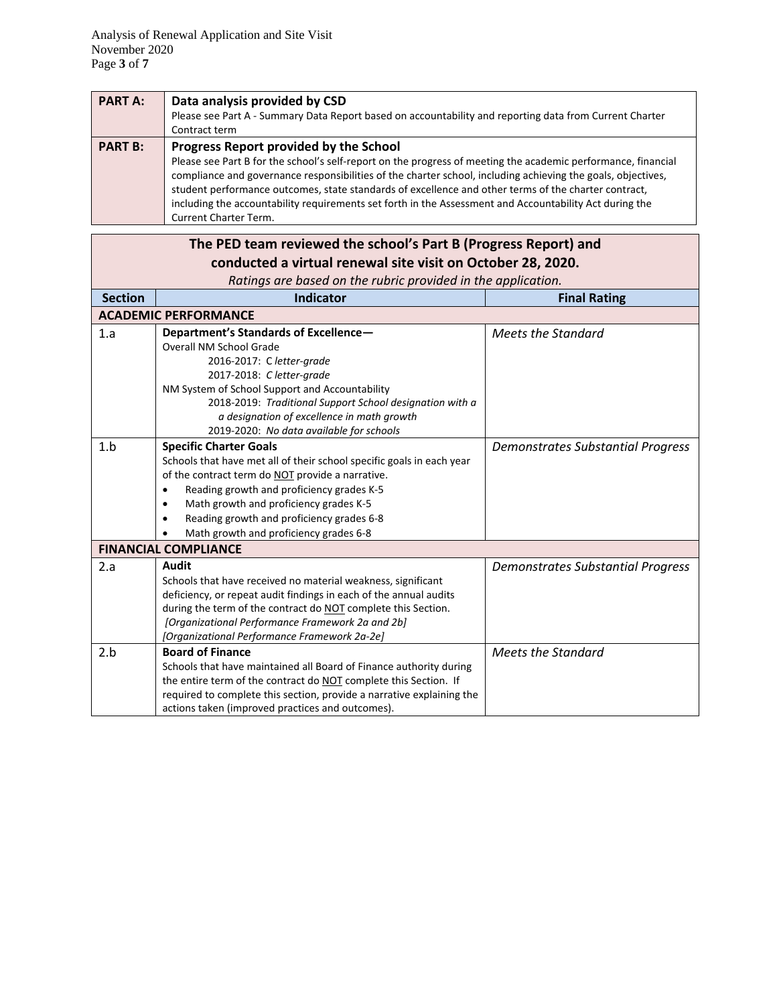| <b>PART A:</b> | Data analysis provided by CSD                                                                                 |
|----------------|---------------------------------------------------------------------------------------------------------------|
|                | Please see Part A - Summary Data Report based on accountability and reporting data from Current Charter       |
|                | Contract term                                                                                                 |
| <b>PART B:</b> | Progress Report provided by the School                                                                        |
|                | Please see Part B for the school's self-report on the progress of meeting the academic performance, financial |
|                | compliance and governance responsibilities of the charter school, including achieving the goals, objectives,  |
|                | student performance outcomes, state standards of excellence and other terms of the charter contract,          |
|                | including the accountability requirements set forth in the Assessment and Accountability Act during the       |
|                | <b>Current Charter Term.</b>                                                                                  |

|                | The PED team reviewed the school's Part B (Progress Report) and       |                                          |
|----------------|-----------------------------------------------------------------------|------------------------------------------|
|                | conducted a virtual renewal site visit on October 28, 2020.           |                                          |
|                | Ratings are based on the rubric provided in the application.          |                                          |
| <b>Section</b> | <b>Indicator</b>                                                      | <b>Final Rating</b>                      |
|                | <b>ACADEMIC PERFORMANCE</b>                                           |                                          |
| 1.a            | Department's Standards of Excellence-                                 | <b>Meets the Standard</b>                |
|                | <b>Overall NM School Grade</b>                                        |                                          |
|                | 2016-2017: C letter-grade                                             |                                          |
|                | 2017-2018: Cletter-grade                                              |                                          |
|                | NM System of School Support and Accountability                        |                                          |
|                | 2018-2019: Traditional Support School designation with a              |                                          |
|                | a designation of excellence in math growth                            |                                          |
|                | 2019-2020: No data available for schools                              |                                          |
| 1.b            | <b>Specific Charter Goals</b>                                         | <b>Demonstrates Substantial Progress</b> |
|                | Schools that have met all of their school specific goals in each year |                                          |
|                | of the contract term do NOT provide a narrative.                      |                                          |
|                | Reading growth and proficiency grades K-5<br>$\bullet$                |                                          |
|                | Math growth and proficiency grades K-5<br>$\bullet$                   |                                          |
|                | Reading growth and proficiency grades 6-8<br>$\bullet$                |                                          |
|                | Math growth and proficiency grades 6-8                                |                                          |
|                | <b>FINANCIAL COMPLIANCE</b>                                           |                                          |
| 2.a            | <b>Audit</b>                                                          | <b>Demonstrates Substantial Progress</b> |
|                | Schools that have received no material weakness, significant          |                                          |
|                | deficiency, or repeat audit findings in each of the annual audits     |                                          |
|                | during the term of the contract do NOT complete this Section.         |                                          |
|                | [Organizational Performance Framework 2a and 2b]                      |                                          |
|                | [Organizational Performance Framework 2a-2e]                          |                                          |
| 2.b            | <b>Board of Finance</b>                                               | <b>Meets the Standard</b>                |
|                | Schools that have maintained all Board of Finance authority during    |                                          |
|                | the entire term of the contract do NOT complete this Section. If      |                                          |
|                | required to complete this section, provide a narrative explaining the |                                          |
|                | actions taken (improved practices and outcomes).                      |                                          |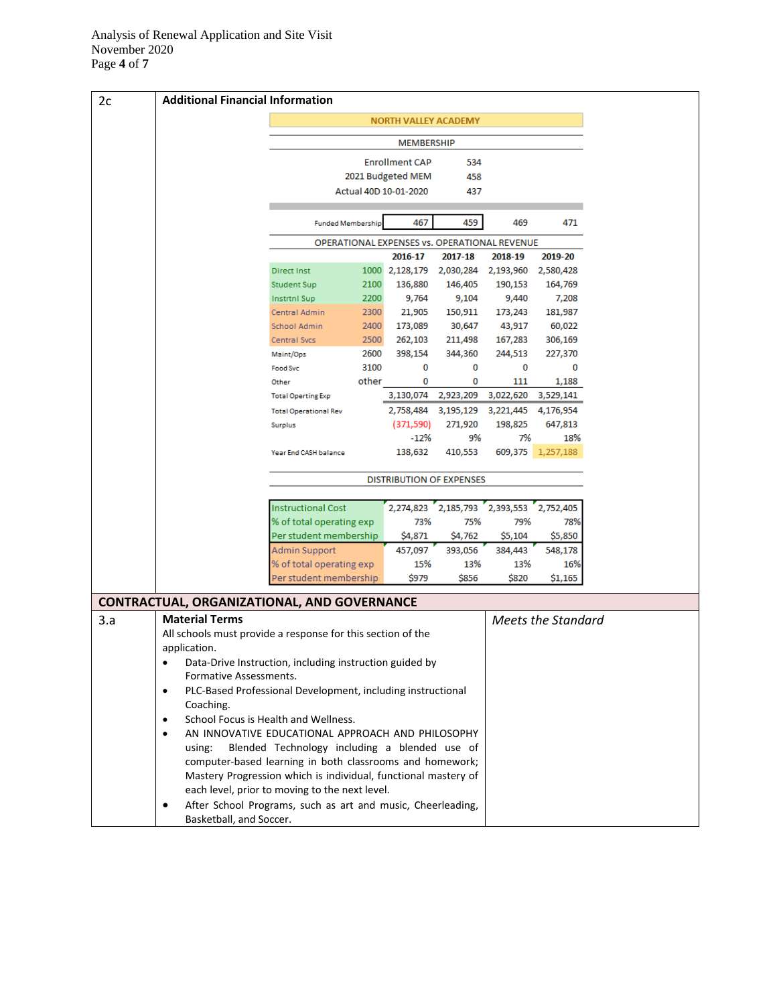| 2c  | <b>Additional Financial Information</b>                                               |                                                                |              |                                              |                      |                               |                           |  |
|-----|---------------------------------------------------------------------------------------|----------------------------------------------------------------|--------------|----------------------------------------------|----------------------|-------------------------------|---------------------------|--|
|     | <b>NORTH VALLEY ACADEMY</b>                                                           |                                                                |              |                                              |                      |                               |                           |  |
|     |                                                                                       | <b>MEMBERSHIP</b>                                              |              |                                              |                      |                               |                           |  |
|     |                                                                                       |                                                                |              | <b>Enrollment CAP</b>                        | 534                  |                               |                           |  |
|     |                                                                                       |                                                                |              | 2021 Budgeted MEM                            | 458                  |                               |                           |  |
|     |                                                                                       |                                                                |              | Actual 40D 10-01-2020                        | 437                  |                               |                           |  |
|     |                                                                                       |                                                                |              |                                              |                      |                               |                           |  |
|     |                                                                                       | <b>Funded Membership</b>                                       |              | 467                                          | 459                  | 469                           | 471                       |  |
|     |                                                                                       |                                                                |              | OPERATIONAL EXPENSES vs. OPERATIONAL REVENUE |                      |                               |                           |  |
|     |                                                                                       |                                                                |              | 2016-17                                      | 2017-18              | 2018-19                       | 2019-20                   |  |
|     |                                                                                       | <b>Direct Inst</b><br><b>Student Sup</b>                       | 1000<br>2100 | 2,128,179<br>136,880                         | 2,030,284<br>146,405 | 2,193,960<br>190,153          | 2,580,428<br>164,769      |  |
|     |                                                                                       | <b>Instrtnl Sup</b>                                            | 2200         | 9,764                                        | 9,104                | 9,440                         | 7,208                     |  |
|     |                                                                                       | Central Admin                                                  | 2300         | 21,905                                       | 150,911              | 173,243                       | 181,987                   |  |
|     |                                                                                       | School Admin                                                   | 2400         | 173,089                                      | 30,647               | 43,917                        | 60,022                    |  |
|     |                                                                                       | Central Svcs                                                   | 2500         | 262,103                                      | 211,498              | 167,283                       | 306,169                   |  |
|     |                                                                                       | Maint/Ops                                                      | 2600         | 398,154                                      | 344,360              | 244,513                       | 227,370                   |  |
|     |                                                                                       | <b>Food Svc</b>                                                | 3100         | 0                                            | 0                    | 0                             | 0                         |  |
|     |                                                                                       | Other                                                          | other        | 0                                            | 0                    | 111                           | 1,188                     |  |
|     |                                                                                       | <b>Total Operting Exp</b>                                      |              |                                              | 3,130,074 2,923,209  | 3,022,620                     | 3,529,141                 |  |
|     |                                                                                       | <b>Total Operational Rev</b>                                   |              |                                              |                      | 2,758,484 3,195,129 3,221,445 | 4,176,954                 |  |
|     |                                                                                       | Surplus                                                        |              | (371, 590)                                   | 271,920              | 198,825                       | 647,813                   |  |
|     |                                                                                       |                                                                |              | $-12%$                                       | 9%                   | 7%                            | 18%                       |  |
|     |                                                                                       | Year End CASH balance                                          |              | 138,632                                      | 410,553              |                               | 609,375 1,257,188         |  |
|     |                                                                                       |                                                                |              | <b>DISTRIBUTION OF EXPENSES</b>              |                      |                               |                           |  |
|     |                                                                                       | <b>Instructional Cost</b>                                      |              | 2,274,823                                    | 2,185,793            | 2,393,553                     | 2,752,405                 |  |
|     |                                                                                       | % of total operating exp                                       |              | 73%                                          | 75%                  | 79%                           | 78%                       |  |
|     |                                                                                       | Per student membership                                         |              | \$4,871                                      | \$4,762              | \$5,104                       | \$5,850                   |  |
|     |                                                                                       | Admin Support                                                  |              | 457,097                                      | 393,056              | 384,443                       | 548,178                   |  |
|     |                                                                                       | % of total operating exp                                       |              | 15%                                          | 13%                  | 13%                           | 16%                       |  |
|     |                                                                                       | Per student membership                                         |              | \$979                                        | \$856                | \$820                         | \$1,165                   |  |
|     | <b>CONTRACTUAL, ORGANIZATIONAL, AND GOVERNANCE</b>                                    |                                                                |              |                                              |                      |                               |                           |  |
| 3.a | <b>Material Terms</b>                                                                 |                                                                |              |                                              |                      |                               | <b>Meets the Standard</b> |  |
|     |                                                                                       | All schools must provide a response for this section of the    |              |                                              |                      |                               |                           |  |
|     | application.                                                                          |                                                                |              |                                              |                      |                               |                           |  |
|     | Data-Drive Instruction, including instruction guided by                               |                                                                |              |                                              |                      |                               |                           |  |
|     | Formative Assessments.<br>PLC-Based Professional Development, including instructional |                                                                |              |                                              |                      |                               |                           |  |
|     | $\bullet$                                                                             |                                                                |              |                                              |                      |                               |                           |  |
|     | Coaching.<br>$\bullet$                                                                | School Focus is Health and Wellness.                           |              |                                              |                      |                               |                           |  |
|     | $\bullet$                                                                             | AN INNOVATIVE EDUCATIONAL APPROACH AND PHILOSOPHY              |              |                                              |                      |                               |                           |  |
|     | using:                                                                                | Blended Technology including a blended use of                  |              |                                              |                      |                               |                           |  |
|     |                                                                                       | computer-based learning in both classrooms and homework;       |              |                                              |                      |                               |                           |  |
|     |                                                                                       | Mastery Progression which is individual, functional mastery of |              |                                              |                      |                               |                           |  |
|     |                                                                                       | each level, prior to moving to the next level.                 |              |                                              |                      |                               |                           |  |
|     | ٠                                                                                     | After School Programs, such as art and music, Cheerleading,    |              |                                              |                      |                               |                           |  |
|     | Basketball, and Soccer.                                                               |                                                                |              |                                              |                      |                               |                           |  |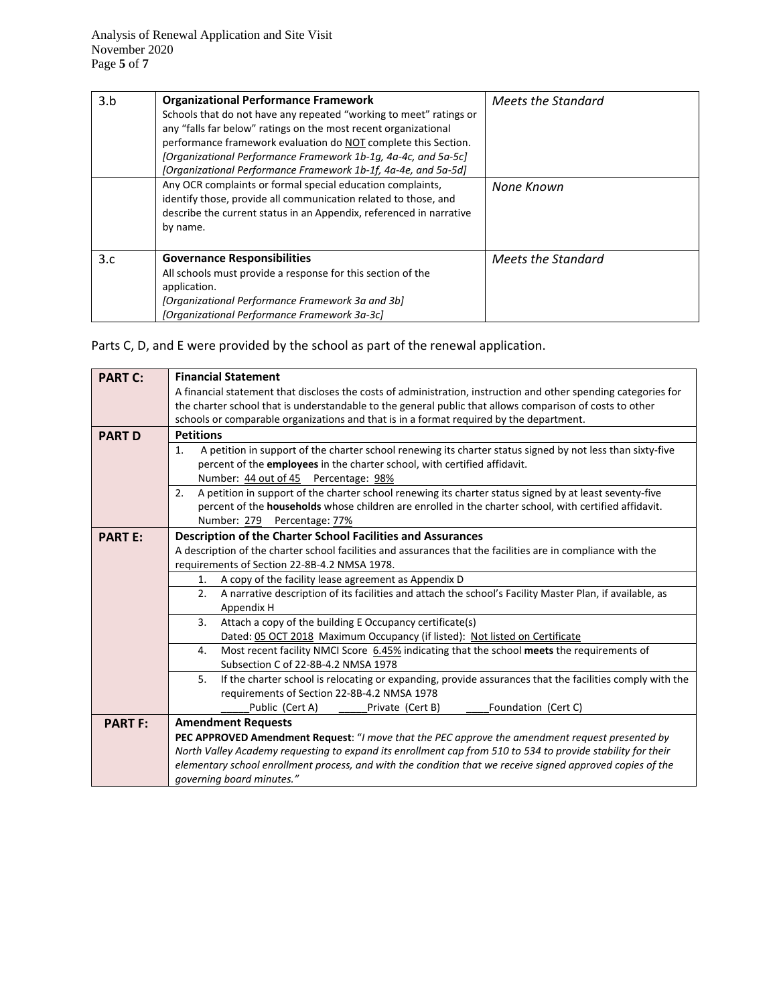| 3.b | <b>Organizational Performance Framework</b><br>Schools that do not have any repeated "working to meet" ratings or<br>any "falls far below" ratings on the most recent organizational<br>performance framework evaluation do NOT complete this Section.<br>[Organizational Performance Framework 1b-1g, 4a-4c, and 5a-5c]<br>[Organizational Performance Framework 1b-1f, 4a-4e, and 5a-5d] | Meets the Standard |
|-----|--------------------------------------------------------------------------------------------------------------------------------------------------------------------------------------------------------------------------------------------------------------------------------------------------------------------------------------------------------------------------------------------|--------------------|
|     | Any OCR complaints or formal special education complaints,<br>identify those, provide all communication related to those, and<br>describe the current status in an Appendix, referenced in narrative<br>by name.                                                                                                                                                                           | None Known         |
| 3.c | <b>Governance Responsibilities</b><br>All schools must provide a response for this section of the<br>application.<br>[Organizational Performance Framework 3a and 3b]<br>[Organizational Performance Framework 3a-3c]                                                                                                                                                                      | Meets the Standard |

Parts C, D, and E were provided by the school as part of the renewal application.

| <b>PART C:</b> | <b>Financial Statement</b>                                                                                       |  |  |  |  |  |  |
|----------------|------------------------------------------------------------------------------------------------------------------|--|--|--|--|--|--|
|                | A financial statement that discloses the costs of administration, instruction and other spending categories for  |  |  |  |  |  |  |
|                | the charter school that is understandable to the general public that allows comparison of costs to other         |  |  |  |  |  |  |
|                | schools or comparable organizations and that is in a format required by the department.                          |  |  |  |  |  |  |
| <b>PART D</b>  | <b>Petitions</b>                                                                                                 |  |  |  |  |  |  |
|                | A petition in support of the charter school renewing its charter status signed by not less than sixty-five<br>1. |  |  |  |  |  |  |
|                | percent of the employees in the charter school, with certified affidavit.                                        |  |  |  |  |  |  |
|                | Number: 44 out of 45 Percentage: 98%                                                                             |  |  |  |  |  |  |
|                | A petition in support of the charter school renewing its charter status signed by at least seventy-five<br>2.    |  |  |  |  |  |  |
|                | percent of the households whose children are enrolled in the charter school, with certified affidavit.           |  |  |  |  |  |  |
|                | Number: 279<br>Percentage: 77%                                                                                   |  |  |  |  |  |  |
| <b>PART E:</b> | Description of the Charter School Facilities and Assurances                                                      |  |  |  |  |  |  |
|                | A description of the charter school facilities and assurances that the facilities are in compliance with the     |  |  |  |  |  |  |
|                | requirements of Section 22-8B-4.2 NMSA 1978.<br>A copy of the facility lease agreement as Appendix D<br>1.       |  |  |  |  |  |  |
|                |                                                                                                                  |  |  |  |  |  |  |
|                | A narrative description of its facilities and attach the school's Facility Master Plan, if available, as<br>2.   |  |  |  |  |  |  |
|                | Appendix H                                                                                                       |  |  |  |  |  |  |
|                | Attach a copy of the building E Occupancy certificate(s)<br>3.                                                   |  |  |  |  |  |  |
|                | Dated: 05 OCT 2018 Maximum Occupancy (if listed): Not listed on Certificate                                      |  |  |  |  |  |  |
|                | Most recent facility NMCI Score 6.45% indicating that the school meets the requirements of<br>4.                 |  |  |  |  |  |  |
|                | Subsection C of 22-8B-4.2 NMSA 1978                                                                              |  |  |  |  |  |  |
|                | 5.<br>If the charter school is relocating or expanding, provide assurances that the facilities comply with the   |  |  |  |  |  |  |
|                | requirements of Section 22-8B-4.2 NMSA 1978                                                                      |  |  |  |  |  |  |
|                | Public (Cert A)<br>Private (Cert B)<br>Foundation (Cert C)                                                       |  |  |  |  |  |  |
| <b>PART F:</b> | <b>Amendment Requests</b>                                                                                        |  |  |  |  |  |  |
|                | PEC APPROVED Amendment Request: "I move that the PEC approve the amendment request presented by                  |  |  |  |  |  |  |
|                | North Valley Academy requesting to expand its enrollment cap from 510 to 534 to provide stability for their      |  |  |  |  |  |  |
|                | elementary school enrollment process, and with the condition that we receive signed approved copies of the       |  |  |  |  |  |  |
|                | qoverning board minutes."                                                                                        |  |  |  |  |  |  |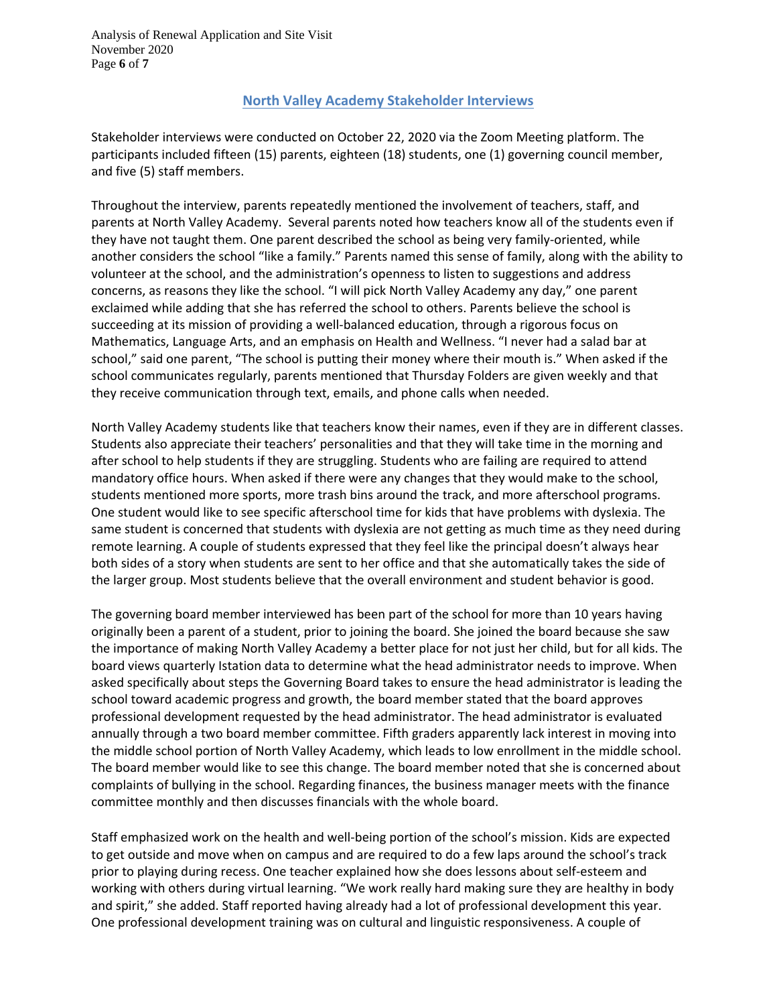## **North Valley Academy Stakeholder Interviews**

Stakeholder interviews were conducted on October 22, 2020 via the Zoom Meeting platform. The participants included fifteen (15) parents, eighteen (18) students, one (1) governing council member, and five (5) staff members.

Throughout the interview, parents repeatedly mentioned the involvement of teachers, staff, and parents at North Valley Academy. Several parents noted how teachers know all of the students even if they have not taught them. One parent described the school as being very family-oriented, while another considers the school "like a family." Parents named this sense of family, along with the ability to volunteer at the school, and the administration's openness to listen to suggestions and address concerns, as reasons they like the school. "I will pick North Valley Academy any day," one parent exclaimed while adding that she has referred the school to others. Parents believe the school is succeeding at its mission of providing a well-balanced education, through a rigorous focus on Mathematics, Language Arts, and an emphasis on Health and Wellness. "I never had a salad bar at school," said one parent, "The school is putting their money where their mouth is." When asked if the school communicates regularly, parents mentioned that Thursday Folders are given weekly and that they receive communication through text, emails, and phone calls when needed.

North Valley Academy students like that teachers know their names, even if they are in different classes. Students also appreciate their teachers' personalities and that they will take time in the morning and after school to help students if they are struggling. Students who are failing are required to attend mandatory office hours. When asked if there were any changes that they would make to the school, students mentioned more sports, more trash bins around the track, and more afterschool programs. One student would like to see specific afterschool time for kids that have problems with dyslexia. The same student is concerned that students with dyslexia are not getting as much time as they need during remote learning. A couple of students expressed that they feel like the principal doesn't always hear both sides of a story when students are sent to her office and that she automatically takes the side of the larger group. Most students believe that the overall environment and student behavior is good.

The governing board member interviewed has been part of the school for more than 10 years having originally been a parent of a student, prior to joining the board. She joined the board because she saw the importance of making North Valley Academy a better place for not just her child, but for all kids. The board views quarterly Istation data to determine what the head administrator needs to improve. When asked specifically about steps the Governing Board takes to ensure the head administrator is leading the school toward academic progress and growth, the board member stated that the board approves professional development requested by the head administrator. The head administrator is evaluated annually through a two board member committee. Fifth graders apparently lack interest in moving into the middle school portion of North Valley Academy, which leads to low enrollment in the middle school. The board member would like to see this change. The board member noted that she is concerned about complaints of bullying in the school. Regarding finances, the business manager meets with the finance committee monthly and then discusses financials with the whole board.

Staff emphasized work on the health and well-being portion of the school's mission. Kids are expected to get outside and move when on campus and are required to do a few laps around the school's track prior to playing during recess. One teacher explained how she does lessons about self-esteem and working with others during virtual learning. "We work really hard making sure they are healthy in body and spirit," she added. Staff reported having already had a lot of professional development this year. One professional development training was on cultural and linguistic responsiveness. A couple of